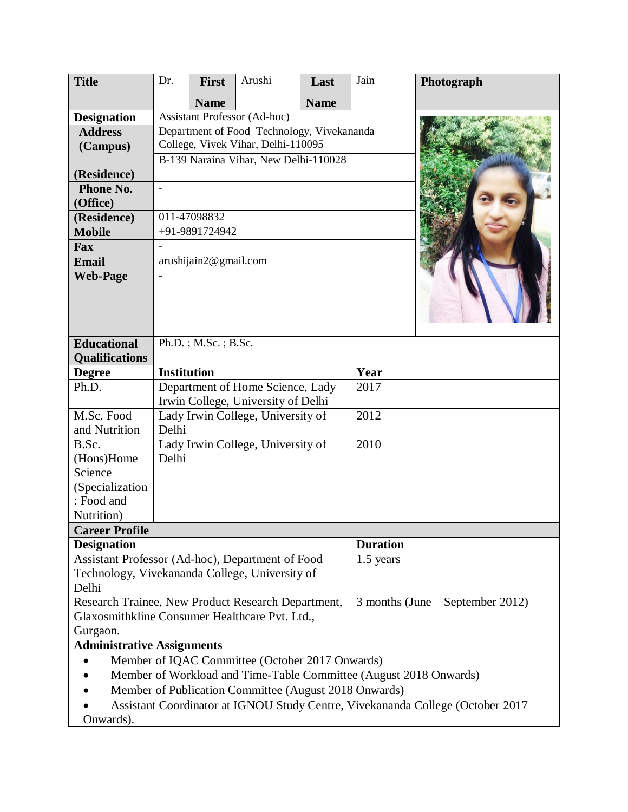| <b>Title</b>                                                      | Dr.                                        | <b>First</b> | Arushi                              | Last        | Jain            | Photograph                       |
|-------------------------------------------------------------------|--------------------------------------------|--------------|-------------------------------------|-------------|-----------------|----------------------------------|
|                                                                   |                                            | <b>Name</b>  |                                     | <b>Name</b> |                 |                                  |
| <b>Designation</b>                                                |                                            |              | <b>Assistant Professor (Ad-hoc)</b> |             |                 |                                  |
| <b>Address</b>                                                    | Department of Food Technology, Vivekananda |              |                                     |             |                 |                                  |
| (Campus)                                                          | College, Vivek Vihar, Delhi-110095         |              |                                     |             |                 |                                  |
|                                                                   | B-139 Naraina Vihar, New Delhi-110028      |              |                                     |             |                 |                                  |
| (Residence)                                                       |                                            |              |                                     |             |                 |                                  |
| Phone No.                                                         |                                            |              |                                     |             |                 |                                  |
| (Office)                                                          |                                            |              |                                     |             |                 |                                  |
| (Residence)                                                       | 011-47098832                               |              |                                     |             |                 |                                  |
| <b>Mobile</b>                                                     | +91-9891724942                             |              |                                     |             |                 |                                  |
| Fax                                                               |                                            |              |                                     |             |                 |                                  |
| <b>Email</b>                                                      | arushijain2@gmail.com                      |              |                                     |             |                 |                                  |
| <b>Web-Page</b>                                                   |                                            |              |                                     |             |                 |                                  |
|                                                                   |                                            |              |                                     |             |                 |                                  |
|                                                                   |                                            |              |                                     |             |                 |                                  |
|                                                                   |                                            |              |                                     |             |                 |                                  |
| <b>Educational</b>                                                |                                            |              |                                     |             |                 |                                  |
| <b>Qualifications</b>                                             | Ph.D.; M.Sc.; B.Sc.                        |              |                                     |             |                 |                                  |
| <b>Degree</b>                                                     | <b>Institution</b>                         |              |                                     |             | Year            |                                  |
| Ph.D.                                                             |                                            |              | Department of Home Science, Lady    |             | 2017            |                                  |
|                                                                   |                                            |              | Irwin College, University of Delhi  |             |                 |                                  |
| M.Sc. Food                                                        |                                            |              | Lady Irwin College, University of   |             | 2012            |                                  |
| and Nutrition                                                     | Delhi                                      |              |                                     |             |                 |                                  |
| B.Sc.                                                             |                                            |              | Lady Irwin College, University of   |             | 2010            |                                  |
| (Hons)Home                                                        | Delhi                                      |              |                                     |             |                 |                                  |
| Science                                                           |                                            |              |                                     |             |                 |                                  |
| (Specialization                                                   |                                            |              |                                     |             |                 |                                  |
| : Food and                                                        |                                            |              |                                     |             |                 |                                  |
| Nutrition)                                                        |                                            |              |                                     |             |                 |                                  |
| <b>Career Profile</b>                                             |                                            |              |                                     |             |                 |                                  |
| <b>Designation</b>                                                |                                            |              |                                     |             | <b>Duration</b> |                                  |
| Assistant Professor (Ad-hoc), Department of Food                  |                                            |              |                                     |             | 1.5 years       |                                  |
| Technology, Vivekananda College, University of                    |                                            |              |                                     |             |                 |                                  |
| Delhi                                                             |                                            |              |                                     |             |                 |                                  |
| Research Trainee, New Product Research Department,                |                                            |              |                                     |             |                 | 3 months (June – September 2012) |
| Glaxosmithkline Consumer Healthcare Pvt. Ltd.,                    |                                            |              |                                     |             |                 |                                  |
| Gurgaon.                                                          |                                            |              |                                     |             |                 |                                  |
| <b>Administrative Assignments</b>                                 |                                            |              |                                     |             |                 |                                  |
| Member of IQAC Committee (October 2017 Onwards)                   |                                            |              |                                     |             |                 |                                  |
| Member of Workload and Time-Table Committee (August 2018 Onwards) |                                            |              |                                     |             |                 |                                  |

- Member of Publication Committee (August 2018 Onwards)
- Assistant Coordinator at IGNOU Study Centre, Vivekananda College (October 2017 Onwards).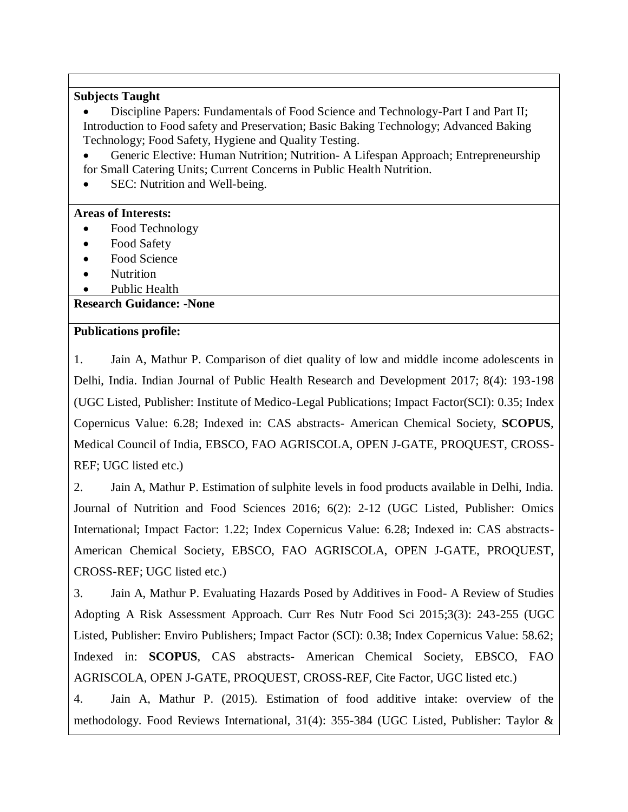#### **Subjects Taught**

 Discipline Papers: Fundamentals of Food Science and Technology-Part I and Part II; Introduction to Food safety and Preservation; Basic Baking Technology; Advanced Baking Technology; Food Safety, Hygiene and Quality Testing.

 Generic Elective: Human Nutrition; Nutrition- A Lifespan Approach; Entrepreneurship for Small Catering Units; Current Concerns in Public Health Nutrition.

SEC: Nutrition and Well-being.

#### **Areas of Interests:**

- Food Technology
- Food Safety
- Food Science
- Nutrition
- Public Health

#### **Research Guidance: -None**

#### **Publications profile:**

1. Jain A, Mathur P. Comparison of diet quality of low and middle income adolescents in Delhi, India. Indian Journal of Public Health Research and Development 2017; 8(4): 193-198 (UGC Listed, Publisher: Institute of Medico-Legal Publications; Impact Factor(SCI): 0.35; Index Copernicus Value: 6.28; Indexed in: CAS abstracts- American Chemical Society, **SCOPUS**, Medical Council of India, EBSCO, FAO AGRISCOLA, OPEN J-GATE, PROQUEST, CROSS-REF; UGC listed etc.)

2. Jain A, Mathur P. Estimation of sulphite levels in food products available in Delhi, India. Journal of Nutrition and Food Sciences 2016; 6(2): 2-12 (UGC Listed, Publisher: Omics International; Impact Factor: 1.22; Index Copernicus Value: 6.28; Indexed in: CAS abstracts-American Chemical Society, EBSCO, FAO AGRISCOLA, OPEN J-GATE, PROQUEST, CROSS-REF; UGC listed etc.)

3. Jain A, Mathur P. Evaluating Hazards Posed by Additives in Food- A Review of Studies Adopting A Risk Assessment Approach. Curr Res Nutr Food Sci 2015;3(3): 243-255 (UGC Listed, Publisher: Enviro Publishers; Impact Factor (SCI): 0.38; Index Copernicus Value: 58.62; Indexed in: **SCOPUS**, CAS abstracts- American Chemical Society, EBSCO, FAO AGRISCOLA, OPEN J-GATE, PROQUEST, CROSS-REF, Cite Factor, UGC listed etc.)

4. Jain A, Mathur P. (2015). Estimation of food additive intake: overview of the methodology. Food Reviews International, 31(4): 355-384 (UGC Listed, Publisher: Taylor &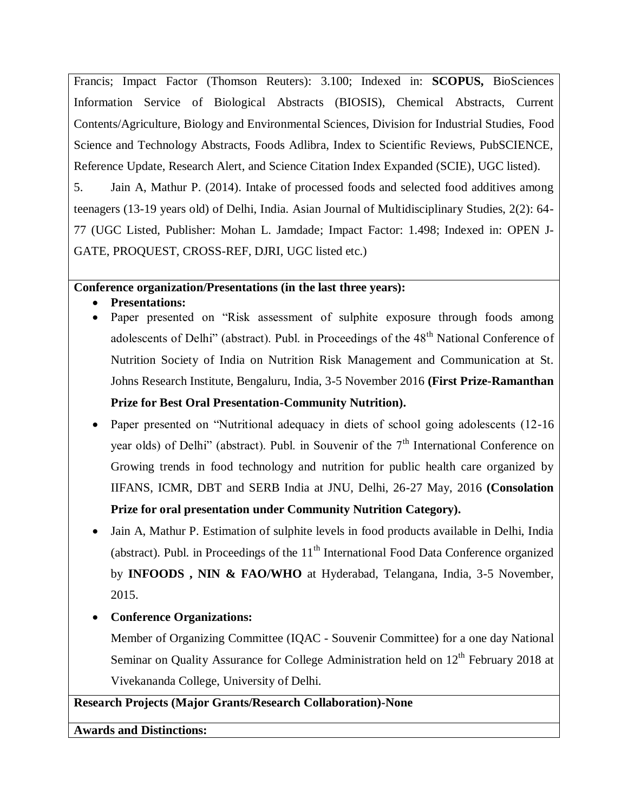Francis; Impact Factor (Thomson Reuters): 3.100; Indexed in: **SCOPUS,** BioSciences Information Service of Biological Abstracts (BIOSIS), Chemical Abstracts, Current Contents/Agriculture, Biology and Environmental Sciences, Division for Industrial Studies, Food Science and Technology Abstracts, Foods Adlibra, Index to Scientific Reviews, PubSCIENCE, Reference Update, Research Alert, and Science Citation Index Expanded (SCIE), UGC listed).

5. Jain A, Mathur P. (2014). Intake of processed foods and selected food additives among teenagers (13-19 years old) of Delhi, India. Asian Journal of Multidisciplinary Studies, 2(2): 64- 77 (UGC Listed, Publisher: Mohan L. Jamdade; Impact Factor: 1.498; Indexed in: OPEN J-GATE, PROQUEST, CROSS-REF, DJRI, UGC listed etc.)

#### **Conference organization/Presentations (in the last three years):**

- **Presentations:**
- Paper presented on "Risk assessment of sulphite exposure through foods among adolescents of Delhi" (abstract). Publ. in Proceedings of the 48<sup>th</sup> National Conference of Nutrition Society of India on Nutrition Risk Management and Communication at St. Johns Research Institute, Bengaluru, India, 3-5 November 2016 **(First Prize-Ramanthan Prize for Best Oral Presentation-Community Nutrition).**
- Paper presented on "Nutritional adequacy in diets of school going adolescents (12-16) year olds) of Delhi" (abstract). Publ. in Souvenir of the  $7<sup>th</sup>$  International Conference on Growing trends in food technology and nutrition for public health care organized by IIFANS, ICMR, DBT and SERB India at JNU, Delhi, 26-27 May, 2016 **(Consolation Prize for oral presentation under Community Nutrition Category).**
- Jain A, Mathur P. Estimation of sulphite levels in food products available in Delhi, India (abstract). Publ. in Proceedings of the  $11<sup>th</sup>$  International Food Data Conference organized by **INFOODS , NIN & FAO/WHO** at Hyderabad, Telangana, India, 3-5 November, 2015.
- **Conference Organizations:**

Member of Organizing Committee (IQAC - Souvenir Committee) for a one day National Seminar on Quality Assurance for College Administration held on  $12<sup>th</sup>$  February 2018 at Vivekananda College, University of Delhi.

## **Research Projects (Major Grants/Research Collaboration)-None**

**Awards and Distinctions:**